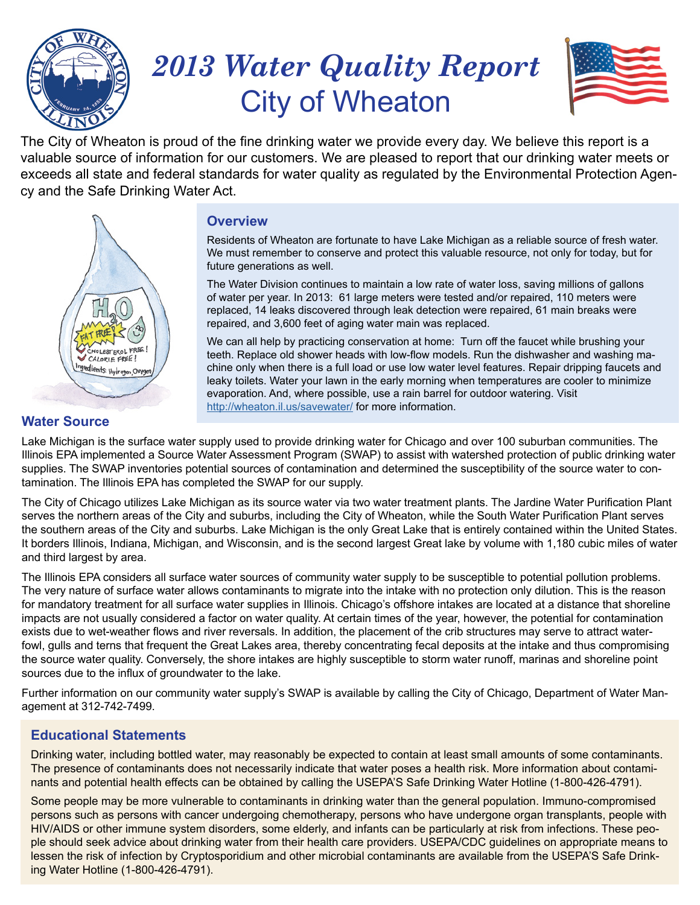

# *2013 Water Quality Report* City of Wheaton



The City of Wheaton is proud of the fine drinking water we provide every day. We believe this report is a valuable source of information for our customers. We are pleased to report that our drinking water meets or exceeds all state and federal standards for water quality as regulated by the Environmental Protection Agency and the Safe Drinking Water Act.



## **Overview**

Residents of Wheaton are fortunate to have Lake Michigan as a reliable source of fresh water. We must remember to conserve and protect this valuable resource, not only for today, but for future generations as well.

The Water Division continues to maintain a low rate of water loss, saving millions of gallons of water per year. In 2013: 61 large meters were tested and/or repaired, 110 meters were replaced, 14 leaks discovered through leak detection were repaired, 61 main breaks were repaired, and 3,600 feet of aging water main was replaced.

We can all help by practicing conservation at home: Turn off the faucet while brushing your teeth. Replace old shower heads with low-flow models. Run the dishwasher and washing machine only when there is a full load or use low water level features. Repair dripping faucets and leaky toilets. Water your lawn in the early morning when temperatures are cooler to minimize evaporation. And, where possible, use a rain barrel for outdoor watering. Visit <http://wheaton.il.us/savewater/>for more information.

# **Water Source**

Lake Michigan is the surface water supply used to provide drinking water for Chicago and over 100 suburban communities. The Illinois EPA implemented a Source Water Assessment Program (SWAP) to assist with watershed protection of public drinking water supplies. The SWAP inventories potential sources of contamination and determined the susceptibility of the source water to contamination. The Illinois EPA has completed the SWAP for our supply.

The City of Chicago utilizes Lake Michigan as its source water via two water treatment plants. The Jardine Water Purification Plant serves the northern areas of the City and suburbs, including the City of Wheaton, while the South Water Purification Plant serves the southern areas of the City and suburbs. Lake Michigan is the only Great Lake that is entirely contained within the United States. It borders Illinois, Indiana, Michigan, and Wisconsin, and is the second largest Great lake by volume with 1,180 cubic miles of water and third largest by area.

The Illinois EPA considers all surface water sources of community water supply to be susceptible to potential pollution problems. The very nature of surface water allows contaminants to migrate into the intake with no protection only dilution. This is the reason for mandatory treatment for all surface water supplies in Illinois. Chicago's offshore intakes are located at a distance that shoreline impacts are not usually considered a factor on water quality. At certain times of the year, however, the potential for contamination exists due to wet-weather flows and river reversals. In addition, the placement of the crib structures may serve to attract waterfowl, gulls and terns that frequent the Great Lakes area, thereby concentrating fecal deposits at the intake and thus compromising the source water quality. Conversely, the shore intakes are highly susceptible to storm water runoff, marinas and shoreline point sources due to the influx of groundwater to the lake.

Further information on our community water supply's SWAP is available by calling the City of Chicago, Department of Water Management at 312-742-7499.

# **Educational Statements**

Drinking water, including bottled water, may reasonably be expected to contain at least small amounts of some contaminants. The presence of contaminants does not necessarily indicate that water poses a health risk. More information about contaminants and potential health effects can be obtained by calling the USEPA'S Safe Drinking Water Hotline (1-800-426-4791).

Some people may be more vulnerable to contaminants in drinking water than the general population. Immuno-compromised persons such as persons with cancer undergoing chemotherapy, persons who have undergone organ transplants, people with HIV/AIDS or other immune system disorders, some elderly, and infants can be particularly at risk from infections. These people should seek advice about drinking water from their health care providers. USEPA/CDC guidelines on appropriate means to lessen the risk of infection by Cryptosporidium and other microbial contaminants are available from the USEPA'S Safe Drinking Water Hotline (1-800-426-4791).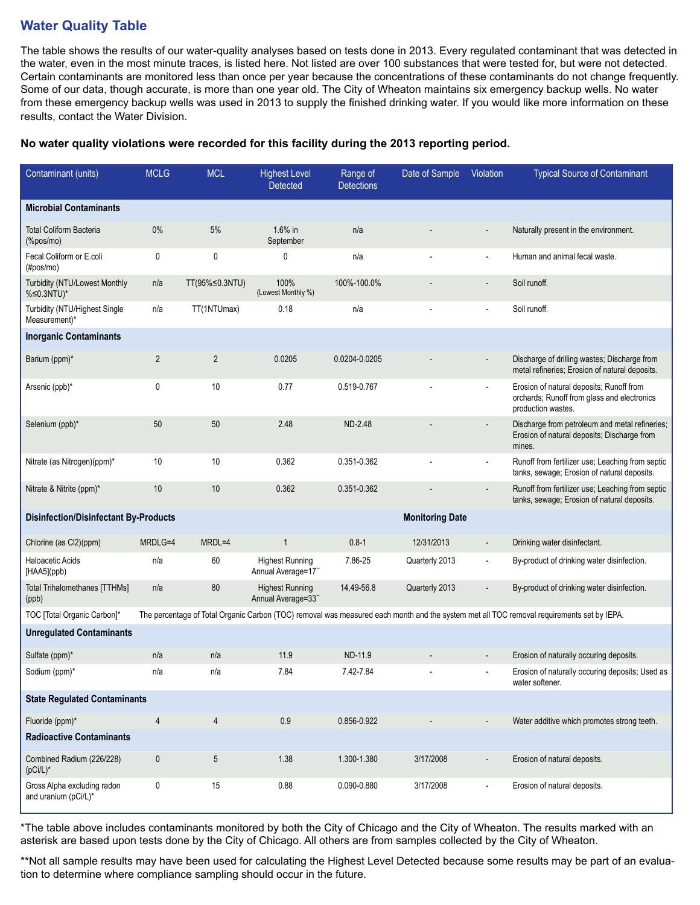# **Water Quality Table**

The table shows the results of our water-quality analyses based on tests done in 2013. Every regulated contaminant that was detected in the water, even in the most minute traces, is listed here. Not listed are over 100 substances that were tested for, but were not detected. Certain contaminants are monitored less than once per year because the concentrations of these contaminants do not change frequently. Some of our data, though accurate, is more than one year old. The City of Wheaton maintains six emergency backup wells. No water from these emergency backup wells was used in 2013 to supply the finished drinking water. If you would like more information on these results, contact the Water Division.

#### **No water quality violations were recorded for this facility during the 2013 reporting period.**

| Contaminant (units)                                               | <b>MCLG</b>                                                                                                                               | <b>MCL</b>     | <b>Highest Level</b><br><b>Detected</b>      | Range of<br><b>Detections</b> | Date of Sample | Violation                | <b>Typical Source of Contaminant</b>                                                                          |
|-------------------------------------------------------------------|-------------------------------------------------------------------------------------------------------------------------------------------|----------------|----------------------------------------------|-------------------------------|----------------|--------------------------|---------------------------------------------------------------------------------------------------------------|
| <b>Microbial Contaminants</b>                                     |                                                                                                                                           |                |                                              |                               |                |                          |                                                                                                               |
| <b>Total Coliform Bacteria</b><br>$(% \mathcal{L}_{0})$ (%pos/mo) | $0\%$                                                                                                                                     | 5%             | 1.6% in<br>September                         | n/a                           |                |                          | Naturally present in the environment.                                                                         |
| Fecal Coliform or E.coli<br>(Hpos/mol)                            | 0                                                                                                                                         | 0              | 0                                            | n/a                           |                |                          | Human and animal fecal waste.                                                                                 |
| Turbidity (NTU/Lowest Monthly<br>%≤0.3NTU)*                       | n/a                                                                                                                                       | TT(95%≤0.3NTU) | 100%<br>(Lowest Monthly %)                   | 100%-100.0%                   |                | $\overline{\phantom{a}}$ | Soil runoff.                                                                                                  |
| Turbidity (NTU/Highest Single<br>Measurement)*                    | n/a                                                                                                                                       | TT(1NTUmax)    | 0.18                                         | n/a                           |                |                          | Soil runoff.                                                                                                  |
| <b>Inorganic Contaminants</b>                                     |                                                                                                                                           |                |                                              |                               |                |                          |                                                                                                               |
| Barium (ppm)*                                                     | $\sqrt{2}$                                                                                                                                | $\overline{2}$ | 0.0205                                       | 0.0204-0.0205                 |                |                          | Discharge of drilling wastes; Discharge from<br>metal refineries; Erosion of natural deposits.                |
| Arsenic (ppb)*                                                    | $\mathbf{0}$                                                                                                                              | 10             | 0.77                                         | 0.519-0.767                   |                |                          | Erosion of natural deposits; Runoff from<br>orchards; Runoff from glass and electronics<br>production wastes. |
| Selenium (ppb)*                                                   | 50                                                                                                                                        | 50             | 2.48                                         | ND-2.48                       |                |                          | Discharge from petroleum and metal refineries;<br>Erosion of natural deposits; Discharge from<br>mines.       |
| Nitrate (as Nitrogen)(ppm)*                                       | 10                                                                                                                                        | 10             | 0.362                                        | 0.351-0.362                   |                |                          | Runoff from fertilizer use; Leaching from septic<br>tanks, sewage; Erosion of natural deposits.               |
| Nitrate & Nitrite (ppm)*                                          | 10                                                                                                                                        | $10$           | 0.362                                        | 0.351-0.362                   |                |                          | Runoff from fertilizer use; Leaching from septic<br>tanks, sewage; Erosion of natural deposits.               |
| <b>Disinfection/Disinfectant By-Products</b>                      |                                                                                                                                           |                |                                              | <b>Monitoring Date</b>        |                |                          |                                                                                                               |
| Chlorine (as Cl2)(ppm)                                            | MRDLG=4                                                                                                                                   | MRDL=4         | $\mathbf{1}$                                 | $0.8 - 1$                     | 12/31/2013     |                          | Drinking water disinfectant.                                                                                  |
| <b>Haloacetic Acids</b><br>[HAA5](ppb)                            | n/a                                                                                                                                       | 60             | <b>Highest Running</b><br>Annual Average=17" | 7.86-25                       | Quarterly 2013 |                          | By-product of drinking water disinfection.                                                                    |
| <b>Total Trihalomethanes [TTHMs]</b><br>(ppb)                     | n/a                                                                                                                                       | 80             | <b>Highest Running</b><br>Annual Average=33" | 14.49-56.8                    | Quarterly 2013 |                          | By-product of drinking water disinfection.                                                                    |
| TOC [Total Organic Carbon]*                                       | The percentage of Total Organic Carbon (TOC) removal was measured each month and the system met all TOC removal requirements set by IEPA. |                |                                              |                               |                |                          |                                                                                                               |
| <b>Unregulated Contaminants</b>                                   |                                                                                                                                           |                |                                              |                               |                |                          |                                                                                                               |
| Sulfate (ppm)*                                                    | n/a                                                                                                                                       | n/a            | 11.9                                         | ND-11.9                       |                |                          | Erosion of naturally occuring deposits.                                                                       |
| Sodium (ppm)*                                                     | n/a                                                                                                                                       | n/a            | 7.84                                         | 7.42-7.84                     |                |                          | Erosion of naturally occuring deposits; Used as<br>water softener.                                            |
| <b>State Regulated Contaminants</b>                               |                                                                                                                                           |                |                                              |                               |                |                          |                                                                                                               |
| Fluoride (ppm)*                                                   | 4                                                                                                                                         | 4              | 0.9                                          | 0.856-0.922                   |                |                          | Water additive which promotes strong teeth.                                                                   |
| <b>Radioactive Contaminants</b>                                   |                                                                                                                                           |                |                                              |                               |                |                          |                                                                                                               |
| Combined Radium (226/228)<br>$(pCi/L)^*$                          | 0                                                                                                                                         | 5              | 1.38                                         | 1.300-1.380                   | 3/17/2008      |                          | Erosion of natural deposits.                                                                                  |
| Gross Alpha excluding radon<br>and uranium (pCi/L)*               | 0                                                                                                                                         | 15             | 0.88                                         | 0.090-0.880                   | 3/17/2008      |                          | Erosion of natural deposits.                                                                                  |

\*The table above includes contaminants monitored by both the City of Chicago and the City of Wheaton. The results marked with an asterisk are based upon tests done by the City of Chicago. All others are from samples collected by the City of Wheaton.

\*\*Not all sample results may have been used for calculating the Highest Level Detected because some results may be part of an evaluation to determine where compliance sampling should occur in the future.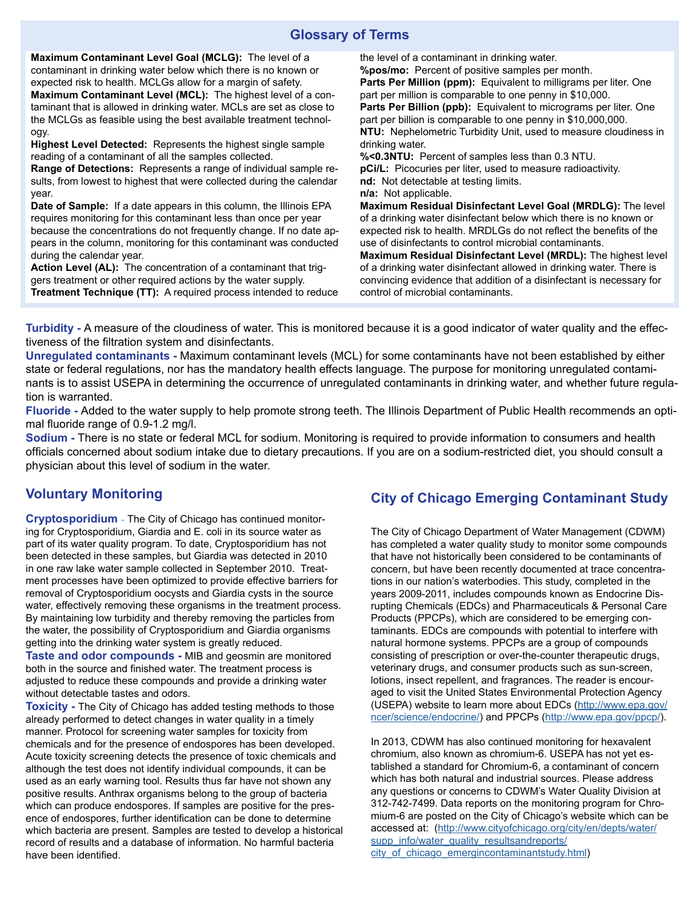## **Glossary of Terms**

**Maximum Contaminant Level Goal (MCLG):** The level of a contaminant in drinking water below which there is no known or expected risk to health. MCLGs allow for a margin of safety. **Maximum Contaminant Level (MCL):** The highest level of a contaminant that is allowed in drinking water. MCLs are set as close to the MCLGs as feasible using the best available treatment technology.

**Highest Level Detected:** Represents the highest single sample reading of a contaminant of all the samples collected.

**Range of Detections:** Represents a range of individual sample results, from lowest to highest that were collected during the calendar year.

**Date of Sample:** If a date appears in this column, the Illinois EPA requires monitoring for this contaminant less than once per year because the concentrations do not frequently change. If no date appears in the column, monitoring for this contaminant was conducted during the calendar year.

**Action Level (AL):** The concentration of a contaminant that triggers treatment or other required actions by the water supply. **Treatment Technique (TT):** A required process intended to reduce the level of a contaminant in drinking water.

**%pos/mo:** Percent of positive samples per month. Parts Per Million (ppm): Equivalent to milligrams per liter. One part per million is comparable to one penny in \$10,000. **Parts Per Billion (ppb):** Equivalent to micrograms per liter. One part per billion is comparable to one penny in \$10,000,000. **NTU:** Nephelometric Turbidity Unit, used to measure cloudiness in drinking water. **%<0.3NTU:** Percent of samples less than 0.3 NTU.

**pCi/L:** Picocuries per liter, used to measure radioactivity. **nd:** Not detectable at testing limits.

**n/a:** Not applicable.

**Maximum Residual Disinfectant Level Goal (MRDLG):** The level of a drinking water disinfectant below which there is no known or expected risk to health. MRDLGs do not reflect the benefits of the use of disinfectants to control microbial contaminants.

**Maximum Residual Disinfectant Level (MRDL):** The highest level of a drinking water disinfectant allowed in drinking water. There is convincing evidence that addition of a disinfectant is necessary for control of microbial contaminants.

**Turbidity -** A measure of the cloudiness of water. This is monitored because it is a good indicator of water quality and the effectiveness of the filtration system and disinfectants.

**Unregulated contaminants -** Maximum contaminant levels (MCL) for some contaminants have not been established by either state or federal regulations, nor has the mandatory health effects language. The purpose for monitoring unregulated contaminants is to assist USEPA in determining the occurrence of unregulated contaminants in drinking water, and whether future regulation is warranted.

**Fluoride -** Added to the water supply to help promote strong teeth. The Illinois Department of Public Health recommends an optimal fluoride range of 0.9-1.2 mg/l.

**Sodium -** There is no state or federal MCL for sodium. Monitoring is required to provide information to consumers and health officials concerned about sodium intake due to dietary precautions. If you are on a sodium-restricted diet, you should consult a physician about this level of sodium in the water.

## **Voluntary Monitoring**

**Cryptosporidium** - The City of Chicago has continued monitoring for Cryptosporidium, Giardia and E. coli in its source water as part of its water quality program. To date, Cryptosporidium has not been detected in these samples, but Giardia was detected in 2010 in one raw lake water sample collected in September 2010. Treatment processes have been optimized to provide effective barriers for removal of Cryptosporidium oocysts and Giardia cysts in the source water, effectively removing these organisms in the treatment process. By maintaining low turbidity and thereby removing the particles from the water, the possibility of Cryptosporidium and Giardia organisms getting into the drinking water system is greatly reduced.

**Taste and odor compounds -** MIB and geosmin are monitored both in the source and finished water. The treatment process is adjusted to reduce these compounds and provide a drinking water without detectable tastes and odors.

**Toxicity -** The City of Chicago has added testing methods to those already performed to detect changes in water quality in a timely manner. Protocol for screening water samples for toxicity from chemicals and for the presence of endospores has been developed. Acute toxicity screening detects the presence of toxic chemicals and although the test does not identify individual compounds, it can be used as an early warning tool. Results thus far have not shown any positive results. Anthrax organisms belong to the group of bacteria which can produce endospores. If samples are positive for the presence of endospores, further identification can be done to determine which bacteria are present. Samples are tested to develop a historical record of results and a database of information. No harmful bacteria have been identified.

## **City of Chicago Emerging Contaminant Study**

The City of Chicago Department of Water Management (CDWM) has completed a water quality study to monitor some compounds that have not historically been considered to be contaminants of concern, but have been recently documented at trace concentrations in our nation's waterbodies. This study, completed in the years 2009-2011, includes compounds known as Endocrine Disrupting Chemicals (EDCs) and Pharmaceuticals & Personal Care Products (PPCPs), which are considered to be emerging contaminants. EDCs are compounds with potential to interfere with natural hormone systems. PPCPs are a group of compounds consisting of prescription or over-the-counter therapeutic drugs, veterinary drugs, and consumer products such as sun-screen, lotions, insect repellent, and fragrances. The reader is encouraged to visit the United States Environmental Protection Agency (USEPA) website to learn more about EDCs [\(http://www.epa.gov/](http://www.epa.gov/ncer/science/endocrine/) [ncer/science/endocrine/\)](http://www.epa.gov/ncer/science/endocrine/) and PPCPs [\(http://www.epa.gov/ppcp/\)](http://www.epa.gov/ppcp/).

In 2013, CDWM has also continued monitoring for hexavalent chromium, also known as chromium-6. USEPA has not yet established a standard for Chromium-6, a contaminant of concern which has both natural and industrial sources. Please address any questions or concerns to CDWM's Water Quality Division at 312-742-7499. Data reports on the monitoring program for Chromium-6 are posted on the City of Chicago's website which can be accessed at: [\(http://www.cityofchicago.org/city/en/depts/water/](http://www.cityofchicago.org/city/en/depts/water/supp_info/water_quality_resultsandreports/
city_of_chicago_emergincontaminantstudy.html) [supp\\_info/water\\_quality\\_resultsandreports/](http://www.cityofchicago.org/city/en/depts/water/supp_info/water_quality_resultsandreports/
city_of_chicago_emergincontaminantstudy.html) city of chicago emergincontaminantstudy.html)